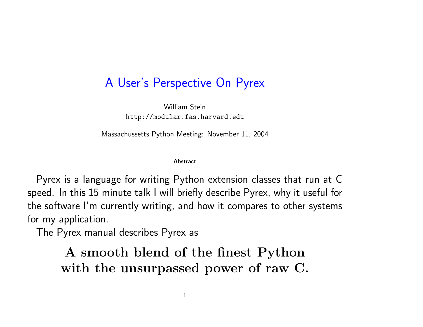## A User's Perspective On Pyrex

William Stein http://modular.fas.harvard.edu

Massachussetts Python Meeting: November 11, 2004

#### Abstract

Pyrex is <sup>a</sup> language for writing Python extension classes that run at C speed. In this 15 minute talk I will briefly describe Pyrex, why it useful for the software I'm currently writing, and how it compares to other systems for my application.

The Pyrex manual describes Pyrex as

A smooth blend of the finest Python with the unsurpassed power of raw C.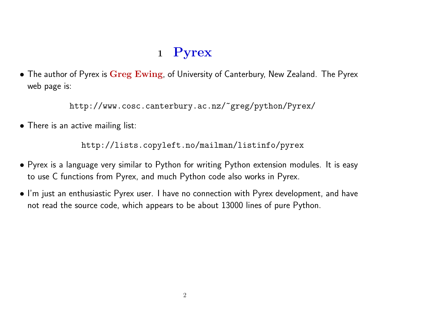# <sup>1</sup> Pyrex

• The author of Pyrex is Greg Ewing, of University of Canterbury, New Zealand. The Pyrex web page is:

http://www.cosc.canterbury.ac.nz/~greg/python/Pyrex/

• There is an active mailing list:

http://lists.copyleft.no/mailman/listinfo/pyrex

- Pyrex is <sup>a</sup> language very similar to Python for writing Python extension modules. It is easy to use C functions from Pyrex, and much Python code also works in Pyrex.
- I'm just an enthusiastic Pyrex user. I have no connection with Pyrex development, and have not read the source code, which appears to be about 13000 lines of pure Python.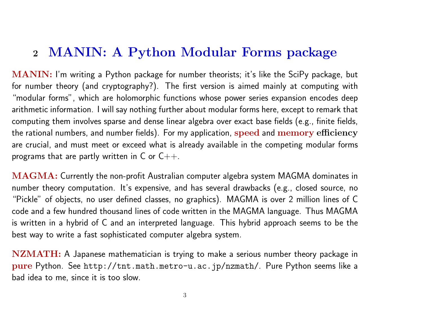#### <sup>2</sup> MANIN: A Python Modular Forms package

MANIN: I'm writing <sup>a</sup> Python package for number theorists; it's like the SciPy package, but for number theory (and cryptography?). The first version is aimed mainly at computing with "modular forms", which are holomorphic functions whose power series expansion encodes deep arithmetic information. I will say nothing further about modular forms here, except to remark that computing them involves sparse and dense linear algebra over exact base fields (e.g., finite fields, the rational numbers, and number fields). For my application, speed and memory efficiency are crucial, and must meet or exceed what is already available in the competing modular forms programs that are partly written in  $C$  or  $C++$ .

MAGMA: Currently the non-profit Australian computer algebra system MAGMA dominates in number theory computation. It's expensive, and has several drawbacks (e.g., closed source, no "Pickle" of objects, no user defined classes, no graphics). MAGMA is over <sup>2</sup> million lines of C code and <sup>a</sup> few hundred thousand lines of code written in the MAGMA language. Thus MAGMA is written in <sup>a</sup> hybrid of C and an interpreted language. This hybrid approach seems to be the best way to write <sup>a</sup> fast sophisticated computer algebra system.

NZMATH: A Japanese mathematician is trying to make a serious number theory package in pure Python. See http://tnt.math.metro-u.ac.jp/nzmath/. Pure Python seems like <sup>a</sup> bad idea to me, since it is too slow.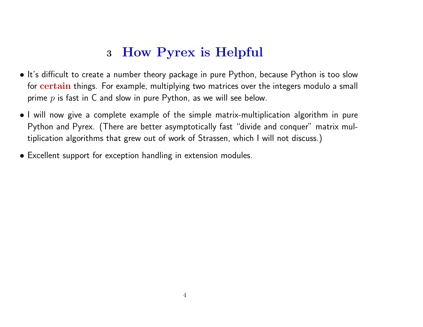## <sup>3</sup> How Pyrex is Helpful

- It's difficult to create a number theory package in pure Python, because Python is too slow for certain things. For example, multiplying two matrices over the integers modulo a small prime  $p$  is fast in C and slow in pure Python, as we will see below.
- I will now give <sup>a</sup> complete example of the simple matrix-multiplication algorithm in pure Python and Pyrex. (There are better asymptotically fast "divide and conquer" matrix multiplication algorithms that grew out of work of Strassen, which <sup>I</sup> will not discuss.)
- Excellent support for exception handling in extension modules.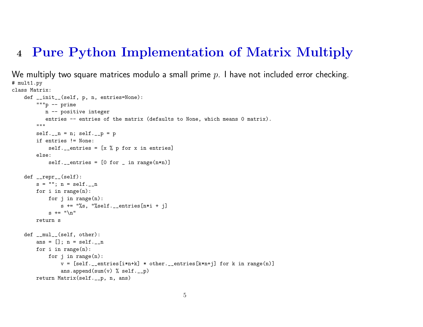### <sup>4</sup> Pure Python Implementation of Matrix Multiply

```
We multiply two square matrices modulo a small prime p_\cdot I have not included error checking.
# mult1.py
class Matrix:
    def __init__(self, p, n, entries=None):
        """p -- prime
           n -- positive integer
           entries -- entries of the matrix (defaults to None, which means 0 matrix).
        \bf 0 "" \bf 0self._-n = n; self._-p = pif entries != None:
            self.__entries = [x % p for x in entries]else:
            self._{\_}entries = [0 for _{\_} in range(n*n)]def __repr__(self):
        s = ""; n = self._-nfor i in range(n):
            for i in range(n):
                s += "%s, "%self.__entries[n*i + j]
            s += "\n"
        return s
    def __mul__(self, other):
        ans = []; n = self.__n
        for i in range(n):
            for j in range(n):
                v = [self._{\_}entries[i*n+k] * other._{\_}entries[k*n+j] for k in range(n)]ans.append(sum(v) % self.__p)
        return Matrix(self.__p, n, ans)
```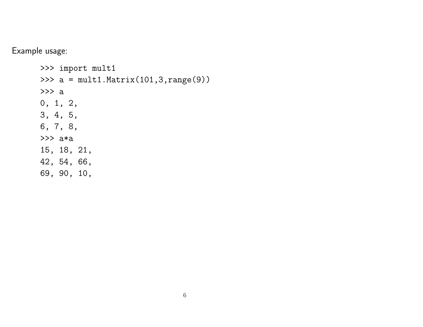Example usage:

>>> import mult1 >>> <sup>a</sup> <sup>=</sup> mult1.Matrix(101,3,range(9)) >>> a 0, 1, 2, 3, 4, 5, 6, 7, 8, >>> a\*a 15, 18, 21, 42, 54, 66, 69, 90, 10,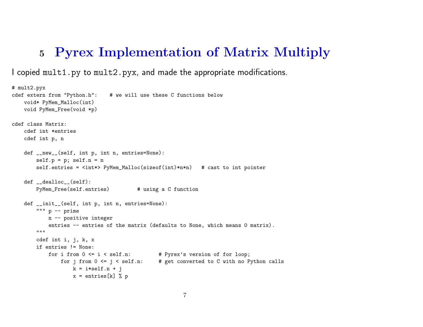#### <sup>5</sup> Pyrex Implementation of Matrix Multiply

I copied mult1.py to mult2.pyx, and made the appropriate modifications.

```
# mult2.pyx
cdef extern from "Python.h": # we will use these C functions below
    void* PyMem_Malloc(int)
   void PyMem_Free(void *p)
cdef class Matrix:
    cdef int *entries
    cdef int p, n
    def __new__(self, int p, int n, entries=None):
        self.p = p; self.n = nself.entries = <int*> PyMem_Malloc(sizeof(int)*n*n) # cast to int pointer
    def __dealloc__(self):
       PyMem_Free(self.entries) # using a C function
    def __init__(self, int p, int n, entries=None):
        """ p -- prime
           n -- positive integer
            entries -- entries of the matrix (defaults to None, which means 0 matrix).
        \bf 0 "" \bf 0 "
        cdef int i, j, k, x
        if entries != None:
            for i from 0 <= i < self.n: # Pyrex's version of for loop;
               for j from 0 \leq j \leq self.n: # get converted to C with no Python calls
                   k = i*self.n + jx = entries[k] % p
```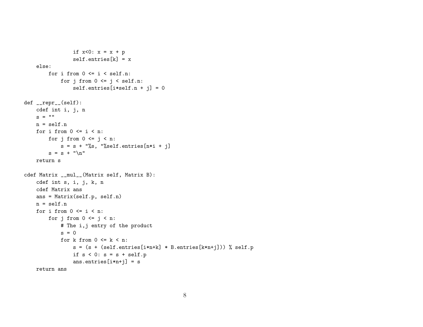```
if x < 0: x = x + pself. entries[k] = xelse:
       for i from 0 \le i \le self.n:
           for j from 0 \le j \le self.n:
                self.entries[i*self.n + j] = 0def __repr__(self):
   cdef int i, j, n
   s = 11n = self.nfor i from 0 \le i \le n:
       for j from 0 \le j \le n:
           s = s + "\s, "%self.entries[n*i + j]
       s = s + "n"return s
cdef Matrix __mul__(Matrix self, Matrix B):
   cdef int s, i, j, k, n
   cdef Matrix ans
   ans = Matrix(self.p, self.n)
   n = self.n
   for i from 0 \le i \le n:
       for j from 0 \le j \le n:
           # The i,j entry of the product
           s = 0for k from 0 \le k \le n:
                s = (s + (self. entries[i*n+k] * B. entries[k*n+j])) % self.pif s < 0: s = s + self.pans.entries[i*n+j] = s
   return ans
```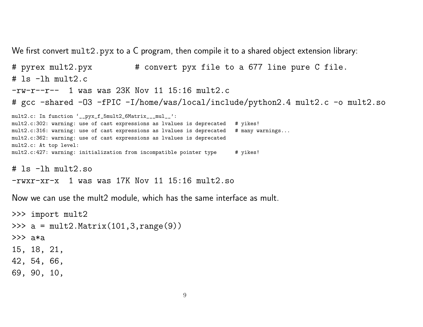We first convert mult2.pyx to a C program, then compile it to a shared object extension library:

# pyrex mult2.pyx # convert pyx file to <sup>a</sup> 677 line pure C file. # ls -lh mult2.c  $-rw-r--r--$  1 was was 23K Nov 11 15:16 mult2.c # gcc -shared -O3 -fPIC -I/home/was/local/include/python2.4 mult2.c -o mult2.so mult2.c: In function '\_\_pyx\_f\_5mult2\_6Matrix\_\_\_mul\_\_': mult2.c:302: warning: use of cast expressions as lvalues is deprecated # yikes! mult2.c:316: warning: use of cast expressions as lvalues is deprecated # many warnings... mult2.c:362: warning: use of cast expressions as lvalues is deprecated mult2.c: At top level: mult2.c:427: warning: initialization from incompatible pointer type # yikes! # ls -lh mult2.so

```
-rwxr-xr-x 1 was was 17K Nov 11 15:16 mult2.so
```
Now we can use the mult2 module, which has the same interface as mult.

```
>>> import mult2
>>> a = mult2.Matrix(101,3,range(9))
>>> a*a
15, 18, 21,
42, 54, 66,
69, 90, 10,
```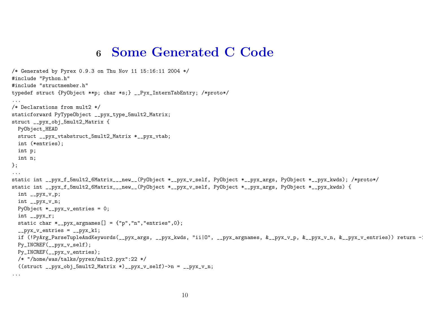#### <sup>6</sup> Some Generated C Code

```
/* Generated by Pyrex 0.9.3 on Thu Nov 11 15:16:11 2004 */
#include "Python.h"
#include "structmember.h"
typedef struct {PyObject **p; char *s;} __Pyx_InternTabEntry; /*proto*/
...
/* Declarations from mult2 */
staticforward PyTypeObject __pyx_type_5mult2_Matrix;
struct __pyx_obj_5mult2_Matrix {
  PyObject_HEAD
  struct __pyx_vtabstruct_5mult2_Matrix *__pyx_vtab;
  int (*entries);
  int p;
  int n;
};
...
static int __pyx_f_5mult2_6Matrix___new__(PyObject *__pyx_v_self, PyObject *__pyx_args, PyObject *__pyx_kwds); /*proto*/
static int __pyx_f_5mult2_6Matrix___new__(PyObject *__pyx_v_self, PyObject *__pyx_args, PyObject *__pyx_kwds) {
  int __pyx_v_p;
  int __pyx_v_n;
 PyObject *_{-}pyx_v_entries = 0;int __pyx_r;
  static char *_{\text{up}}xyz_{\text{up}} = \{ "p", "n", "entries", 0 \};_{\texttt{upyx_ventries}} = _{\texttt{upyx_k1}};
 if (!PyArg_ParseTupleAndKeywords(__pyx_args, __pyx_kwds, "ii|O", __pyx_argnames, &__pyx_v_p, &__pyx_v_n, &__pyx_v_entries)) return -:
 Py_INCREF(__pyx_v_self);
 Py_INCREF(__pyx_v_entries);
 /* "/home/was/talks/pyrex/mult2.pyx":22 */
  ((struct _pyx_obj_5mult2_Matrix*))...
```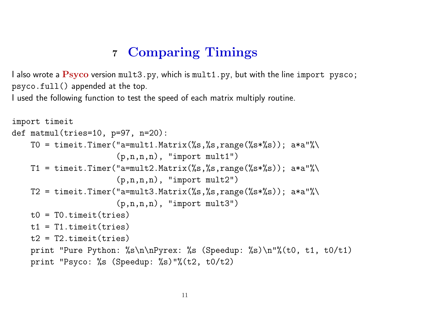## <sup>7</sup> Comparing Timings

I also wrote a  $\overline{P_{\text{SYCO}}}$  version mult3.py, which is mult1.py, but with the line import pysco; psyco.full() appended at the top.

I used the following function to test the speed of each matrix multiply routine.

```
import timeit
def \tt{matmul}(tries=10, p=97, n=20):
    T0 = timeit.Timer("a=mult1.Matrix(%s,%s,range(%s*%s)); a*a"%\
                      (p,n,n,n), "import mult1")
    T1 = timeit.Timer("a=mult2.Matrix(\%s,\%s,range(\%s*\%s)); a*a"\%(p,n,n,n), "import mult2")
    T2 = timeit.Timer("a=mult3.Matrix(\%s,\%s,range(\%s*\%s)); a*a"\%(p,n,n,n), "import mult3")
    t0 = T0.timeit(tries)
    t1 = T1.timeit(tries)t2 = T2.timeit(tries)print "Pure Python: %s\n\nPyrex: %s (Speedup: %s)\n"%(t0, t1, t0/t1)
    print "Psyco: %s (Speedup: %s)"%(t2, t0/t2)
```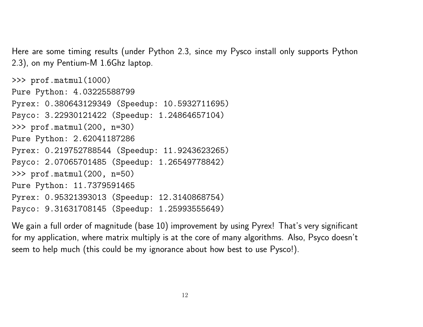Here are some timing results (under Python 2.3, since my Pysco install only supports Python 2.3), on my Pentium-M 1.6Ghz laptop.

```
>>> prof.matmul(1000)
Pure Python: 4.03225588799
Pyrex: 0.380643129349 (Speedup: 10.5932711695)
Psyco: 3.22930121422 (Speedup: 1.24864657104)
>>> prof.matmul(200, n=30)
Pure Python: 2.62041187286
Pyrex: 0.219752788544 (Speedup: 11.9243623265)
Psyco: 2.07065701485 (Speedup: 1.26549778842)
>>> prof.matmul(200, n=50)
Pure Python: 11.7379591465
Pyrex: 0.95321393013 (Speedup: 12.3140868754)
Psyco: 9.31631708145 (Speedup: 1.25993555649)
```
We gain a full order of magnitude (base 10) improvement by using Pyrex! That's very significant for my application, where matrix multiply is at the core of many algorithms. Also, Psyco doesn't seem to help much (this could be my ignorance about how best to use Pysco!).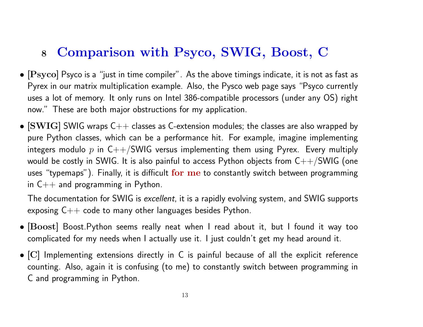# <sup>8</sup> Comparison with Psyco, SWIG, Boost, C

- $\bullet$  [ $\text{Psyco}$ ] Psyco is a "just in time compiler". As the above timings indicate, it is not as fast as Pyrex in our matrix multiplication example. Also, the Pysco web page says "Psyco currently uses <sup>a</sup> lot of memory. It only runs on Intel 386-compatible processors (under any OS) right now." These are both major obstructions for my application.
- $[SWIG]$  SWIG wraps  $C++$  classes as C-extension modules; the classes are also wrapped by pure Python classes, which can be <sup>a</sup> performance hit. For example, imagine implementing integers modulo  $p$  in  $\mathsf{C++}/\mathsf{SWIG}$  versus implementing them using Pyrex. Every multiply would be costly in SWIG. It is also painful to access Python objects from  $C++/SWIG$  (one uses "typemaps"). Finally, it is difficult for me to constantly switch between programming in  $C_{++}$  and programming in Python.

The documentation for SWIG is excellent, it is a rapidly evolving system, and SWIG supports exposing  $C_{++}$  code to many other languages besides Python.

- [Boost] Boost.Python seems really neat when <sup>I</sup> read about it, but <sup>I</sup> found it way too complicated for my needs when I actually use it. I just couldn't ge<sup>t</sup> my head around it.
- [C] Implementing extensions directly in C is painful because of all the explicit reference counting. Also, again it is confusing (to me) to constantly switch between programming in C and programming in Python.